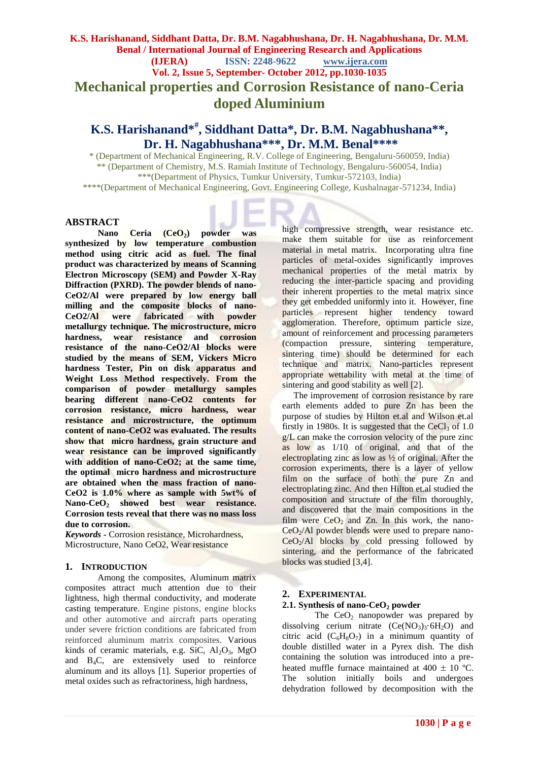# **K.S. Harishanand, Siddhant Datta, Dr. B.M. Nagabhushana, Dr. H. Nagabhushana, Dr. M.M. Benal / International Journal of Engineering Research and Applications (IJERA) ISSN: 2248-9622 www.ijera.com Vol. 2, Issue 5, September- October 2012, pp.1030-1035 Mechanical properties and Corrosion Resistance of nano-Ceria doped Aluminium**

# **K.S. Harishanand\*# , Siddhant Datta\*, Dr. B.M. Nagabhushana\*\*, Dr. H. Nagabhushana\*\*\*, Dr. M.M. Benal\*\*\*\***

\* (Department of Mechanical Engineering, R.V. College of Engineering, Bengaluru-560059, India) \*\* (Department of Chemistry, M.S. Ramiah Institute of Technology, Bengaluru-560054, India) \*\*\*(Department of Physics, Tumkur University, Tumkur-572103, India) \*\*\*\*(Department of Mechanical Engineering, Govt. Engineering College, Kushalnagar-571234, India)

## **ABSTRACT**

**Nano Ceria (CeO2) powder was synthesized by low temperature combustion method using citric acid as fuel. The final product was characterized by means of Scanning Electron Microscopy (SEM) and Powder X-Ray Diffraction (PXRD). The powder blends of nano-CeO2/Al were prepared by low energy ball milling and the composite blocks of nano-CeO2/Al were fabricated with powder metallurgy technique. The microstructure, micro hardness, wear resistance and corrosion resistance of the nano-CeO2/Al blocks were studied by the means of SEM, Vickers Micro hardness Tester, Pin on disk apparatus and Weight Loss Method respectively. From the comparison of powder metallurgy samples bearing different nano-CeO2 contents for corrosion resistance, micro hardness, wear resistance and microstructure, the optimum content of nano-CeO2 was evaluated. The results show that micro hardness, grain structure and wear resistance can be improved significantly with addition of nano-CeO2; at the same time, the optimal micro hardness and microstructure are obtained when the mass fraction of nano-CeO2 is 1.0% where as sample with 5wt% of Nano-CeO<sup>2</sup> showed best wear resistance. Corrosion tests reveal that there was no mass loss due to corrosion.**

*Keywords* **-** Corrosion resistance, Microhardness, Microstructure, Nano CeO2, Wear resistance

#### **1. INTRODUCTION**

Among the composites, Aluminum matrix composites attract much attention due to their lightness, high thermal conductivity, and moderate casting temperature. Engine pistons, engine blocks and other automotive and aircraft parts operating under severe friction conditions are fabricated from reinforced aluminum matrix composites. Various kinds of ceramic materials, e.g. SiC,  $Al<sub>2</sub>O<sub>3</sub>$ , MgO and B4C, are extensively used to reinforce aluminum and its alloys [1]. Superior properties of metal oxides such as refractoriness, high hardness,

high compressive strength, wear resistance etc. make them suitable for use as reinforcement material in metal matrix. Incorporating ultra fine particles of metal-oxides significantly improves mechanical properties of the metal matrix by reducing the inter-particle spacing and providing their inherent properties to the metal matrix since they get embedded uniformly into it. However, fine particles represent higher tendency toward agglomeration. Therefore, optimum particle size, amount of reinforcement and processing parameters (compaction pressure, sintering temperature, sintering time) should be determined for each technique and matrix. Nano-particles represent appropriate wettability with metal at the time of sintering and good stability as well [2].

The improvement of corrosion resistance by rare earth elements added to pure Zn has been the purpose of studies by Hilton et.al and Wilson et.al firstly in 1980s. It is suggested that the  $CeCl<sub>3</sub>$  of 1.0 g/L can make the corrosion velocity of the pure zinc as low as 1/10 of original, and that of the electroplating zinc as low as  $\frac{1}{2}$  of original. After the corrosion experiments, there is a layer of yellow film on the surface of both the pure Zn and electroplating zinc. And then Hilton et.al studied the composition and structure of the film thoroughly, and discovered that the main compositions in the film were  $CeO<sub>2</sub>$  and Zn. In this work, the nano- $CeO<sub>2</sub>/Al$  powder blends were used to prepare nano- $CeO<sub>2</sub>/Al$  blocks by cold pressing followed by sintering, and the performance of the fabricated blocks was studied [3,4].

# **2. EXPERIMENTAL**

# **2.1. Synthesis of nano-CeO<sup>2</sup> powder**

The  $CeO<sub>2</sub>$  nanopowder was prepared by dissolving cerium nitrate  $(Ce(NO<sub>3</sub>)<sub>3</sub>·6H<sub>2</sub>O)$  and citric acid  $(C_6H_8O_7)$  in a minimum quantity of double distilled water in a Pyrex dish. The dish containing the solution was introduced into a preheated muffle furnace maintained at  $400 \pm 10$  °C. The solution initially boils and undergoes dehydration followed by decomposition with the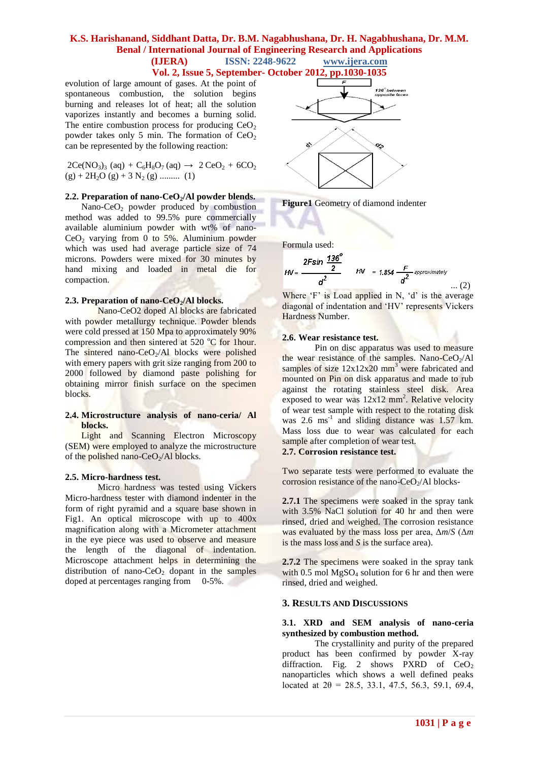# **K.S. Harishanand, Siddhant Datta, Dr. B.M. Nagabhushana, Dr. H. Nagabhushana, Dr. M.M. Benal / International Journal of Engineering Research and Applications (IJERA) ISSN: 2248-9622 www.ijera.com**

**Vol. 2, Issue 5, September- October 2012, pp.1030-1035**

evolution of large amount of gases. At the point of spontaneous combustion, the solution begins burning and releases lot of heat; all the solution vaporizes instantly and becomes a burning solid. The entire combustion process for producing  $CeO<sub>2</sub>$ powder takes only 5 min. The formation of  $CeO<sub>2</sub>$ can be represented by the following reaction:

 $2Ce(NO_3)$ <sub>3</sub> (aq) +  $C_6H_8O_7$  (aq)  $\rightarrow$  2  $CeO_2$  + 6CO<sub>2</sub>  $(g) + 2H_2O(g) + 3N_2(g)$  ......... (1)

## **2.2. Preparation of nano-CeO2/Al powder blends.**

Nano-CeO<sub>2</sub> powder produced by combustion method was added to 99.5% pure commercially available aluminium powder with wt% of nano- $CeO<sub>2</sub>$  varying from 0 to 5%. Aluminium powder which was used had average particle size of 74 microns. Powders were mixed for 30 minutes by hand mixing and loaded in metal die for compaction.

### **2.3. Preparation of nano-CeO2/Al blocks.**

Nano-CeO2 doped Al blocks are fabricated with powder metallurgy technique. Powder blends were cold pressed at 150 Mpa to approximately 90% compression and then sintered at  $520^{\circ}$ C for 1hour. The sintered nano- $CeO<sub>2</sub>/Al$  blocks were polished with emery papers with grit size ranging from 200 to 2000 followed by diamond paste polishing for obtaining mirror finish surface on the specimen blocks.

### **2.4. Microstructure analysis of nano-ceria/ Al blocks.**

Light and Scanning Electron Microscopy (SEM) were employed to analyze the microstructure of the polished nano-CeO<sub>2</sub>/Al blocks.

#### **2.5. Micro-hardness test.**

Micro hardness was tested using Vickers Micro-hardness tester with diamond indenter in the form of right pyramid and a square base shown in Fig1. An optical microscope with up to 400x magnification along with a Micrometer attachment in the eye piece was used to observe and measure the length of the diagonal of indentation. Microscope attachment helps in determining the distribution of nano-CeO<sub>2</sub> dopant in the samples doped at percentages ranging from 0-5%.



**Figure1** Geometry of diamond indenter

Formula used:

$$
HV = \frac{2F\sin\frac{136^o}{2}}{a^2} \qquad HV = 1.854 \frac{F}{a^2} \text{ approximately } (2)
$$

Where  $F'$  is Load applied in N,  $d'$  is the average diagonal of indentation and 'HV' represents Vickers Hardness Number.

### **2.6. Wear resistance test.**

Pin on disc apparatus was used to measure the wear resistance of the samples. Nano- $CeO<sub>2</sub>/Al$ samples of size  $12x12x20$  mm<sup>3</sup> were fabricated and mounted on Pin on disk apparatus and made to rub against the rotating stainless steel disk. Area exposed to wear was  $12x12$  mm<sup>2</sup>. Relative velocity of wear test sample with respect to the rotating disk was 2.6 ms<sup>-1</sup> and sliding distance was 1.57 km. Mass loss due to wear was calculated for each sample after completion of wear test. **2.7. Corrosion resistance test.**

Two separate tests were performed to evaluate the corrosion resistance of the nano-CeO<sub>2</sub>/Al blocks-

**2.7.1** The specimens were soaked in the spray tank with 3.5% NaCl solution for 40 hr and then were rinsed, dried and weighed. The corrosion resistance was evaluated by the mass loss per area, Δ*m*/*S* (Δ*m*  is the mass loss and *S* is the surface area).

**2.7.2** The specimens were soaked in the spray tank with  $0.5$  mol MgSO<sub>4</sub> solution for 6 hr and then were rinsed, dried and weighed.

### **3. RESULTS AND DISCUSSIONS**

### **3.1. XRD and SEM analysis of nano-ceria synthesized by combustion method.**

The crystallinity and purity of the prepared product has been confirmed by powder X-ray diffraction. Fig. 2 shows PXRD of  $CeO<sub>2</sub>$ nanoparticles which shows a well defined peaks located at  $2\theta = 28.5, 33.1, 47.5, 56.3, 59.1, 69.4,$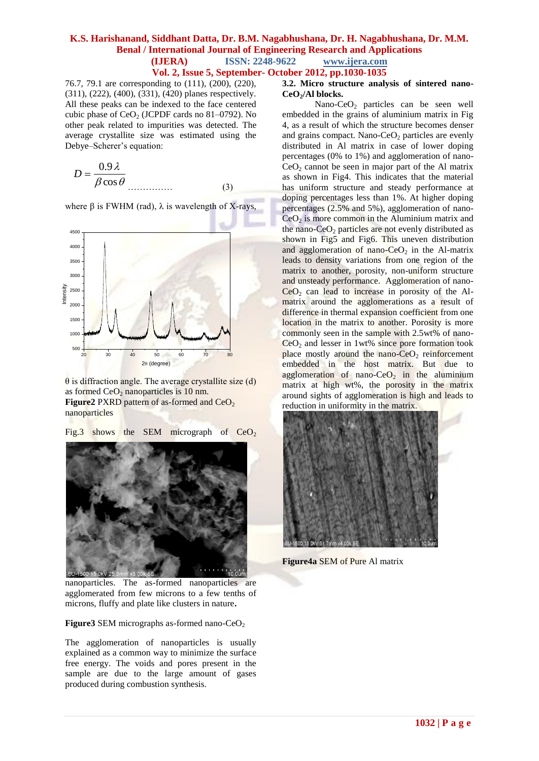# **K.S. Harishanand, Siddhant Datta, Dr. B.M. Nagabhushana, Dr. H. Nagabhushana, Dr. M.M. Benal / International Journal of Engineering Research and Applications (IJERA) ISSN: 2248-9622 www.ijera.com**

**Vol. 2, Issue 5, September- October 2012, pp.1030-1035**

76.7, 79.1 are corresponding to (111), (200), (220), (311), (222), (400), (331), (420) planes respectively. All these peaks can be indexed to the face centered cubic phase of  $CeO<sub>2</sub>$  (JCPDF cards no 81–0792). No other peak related to impurities was detected. The average crystallite size was estimated using the Debye–Scherer's equation:

$$
D = \frac{0.9 \lambda}{\beta \cos \theta}
$$
 (3)

where β is FWHM (rad),  $\lambda$  is wavelength of X-rays,



θ is diffraction angle. The average crystallite size (d) as formed  $CeO<sub>2</sub>$  nanoparticles is 10 nm. **Figure2** PXRD pattern of as-formed and  $CeO<sub>2</sub>$ nanoparticles

Fig.3 shows the SEM micrograph of  $CeO<sub>2</sub>$ 



### **Figure3** SEM micrographs as-formed nano-CeO<sub>2</sub>

The agglomeration of nanoparticles is usually explained as a common way to minimize the surface free energy. The voids and pores present in the sample are due to the large amount of gases produced during combustion synthesis.

## **3.2. Micro structure analysis of sintered nano-CeO2/Al blocks.**

Nano-CeO<sub>2</sub> particles can be seen well embedded in the grains of aluminium matrix in Fig 4, as a result of which the structure becomes denser and grains compact. Nano-CeO<sub>2</sub> particles are evenly distributed in Al matrix in case of lower doping percentages (0% to 1%) and agglomeration of nano- $CeO<sub>2</sub>$  cannot be seen in major part of the Al matrix as shown in Fig4. This indicates that the material has uniform structure and steady performance at doping percentages less than 1%. At higher doping percentages (2.5% and 5%), agglomeration of nano- $CeO<sub>2</sub>$  is more common in the Aluminium matrix and the nano- $CeO<sub>2</sub>$  particles are not evenly distributed as shown in Fig5 and Fig6. This uneven distribution and agglomeration of nano- $CeO<sub>2</sub>$  in the Al-matrix leads to density variations from one region of the matrix to another, porosity, non-uniform structure and unsteady performance. Agglomeration of nano- $CeO<sub>2</sub>$  can lead to increase in porosity of the Almatrix around the agglomerations as a result of difference in thermal expansion coefficient from one location in the matrix to another. Porosity is more commonly seen in the sample with 2.5wt% of nano- $CeO<sub>2</sub>$  and lesser in 1wt% since pore formation took place mostly around the nano- $CeO<sub>2</sub>$  reinforcement embedded in the host matrix. But due to agglomeration of nano-Ce $O_2$  in the aluminium matrix at high wt%, the porosity in the matrix around sights of agglomeration is high and leads to reduction in uniformity in the matrix.



**Figure4a** SEM of Pure Al matrix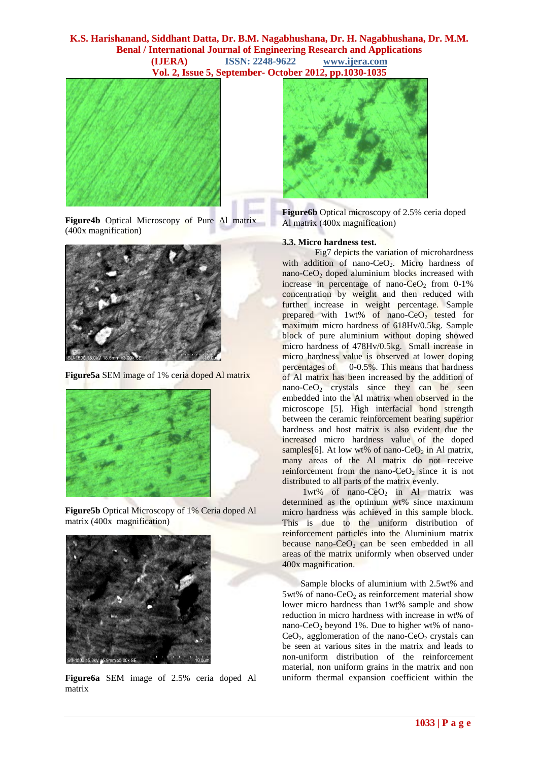## **K.S. Harishanand, Siddhant Datta, Dr. B.M. Nagabhushana, Dr. H. Nagabhushana, Dr. M.M. Benal / International Journal of Engineering Research and Applications (IJERA) ISSN: 2248-9622 www.ijera.com Vol. 2, Issue 5, September- October 2012, pp.1030-1035**



**Figure4b** Optical Microscopy of Pure Al matrix (400x magnification)



**Figure5a** SEM image of 1% ceria doped Al matrix



**Figure5b** Optical Microscopy of 1% Ceria doped Al matrix (400x magnification)



**Figure6a** SEM image of 2.5% ceria doped Al matrix



**Figure6b** Optical microscopy of 2.5% ceria doped Al matrix (400x magnification)

## **3.3. Micro hardness test.**

Fig7 depicts the variation of microhardness with addition of nano-CeO<sub>2</sub>. Micro hardness of nano-CeO<sub>2</sub> doped aluminium blocks increased with increase in percentage of nano- $CeO<sub>2</sub>$  from 0-1% concentration by weight and then reduced with further increase in weight percentage. Sample prepared with  $1wt\%$  of nano-CeO<sub>2</sub> tested for maximum micro hardness of 618Hv/0.5kg. Sample block of pure aluminium without doping showed micro hardness of 478Hv/0.5kg. Small increase in micro hardness value is observed at lower doping percentages of  $0-0.5\%$ . This means that hardness of Al matrix has been increased by the addition of nano-CeO<sub>2</sub> crystals since they can be seen embedded into the Al matrix when observed in the microscope [5]. High interfacial bond strength between the ceramic reinforcement bearing superior hardness and host matrix is also evident due the increased micro hardness value of the doped samples[6]. At low wt% of nano-CeO<sub>2</sub> in Al matrix, many areas of the Al matrix do not receive reinforcement from the nano- $CeO<sub>2</sub>$  since it is not distributed to all parts of the matrix evenly.

1wt% of nano-Ce $O_2$  in Al matrix was determined as the optimum wt% since maximum micro hardness was achieved in this sample block. This is due to the uniform distribution of reinforcement particles into the Aluminium matrix because nano- $CeO<sub>2</sub>$  can be seen embedded in all areas of the matrix uniformly when observed under 400x magnification.

 Sample blocks of aluminium with 2.5wt% and 5wt% of nano-CeO<sub>2</sub> as reinforcement material show lower micro hardness than 1wt% sample and show reduction in micro hardness with increase in wt% of nano-CeO<sup>2</sup> beyond 1%. Due to higher wt% of nano- $CeO<sub>2</sub>$ , agglomeration of the nano- $CeO<sub>2</sub>$  crystals can be seen at various sites in the matrix and leads to non-uniform distribution of the reinforcement material, non uniform grains in the matrix and non uniform thermal expansion coefficient within the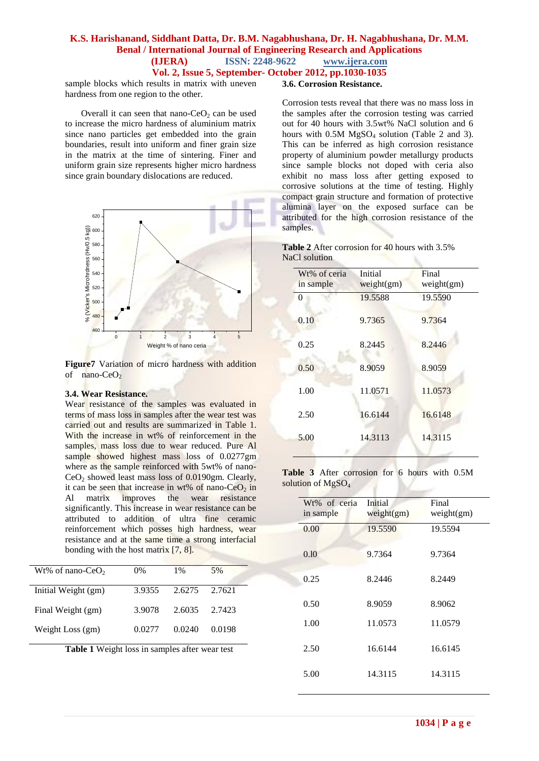# **K.S. Harishanand, Siddhant Datta, Dr. B.M. Nagabhushana, Dr. H. Nagabhushana, Dr. M.M. Benal / International Journal of Engineering Research and Applications (IJERA) ISSN: 2248-9622 www.ijera.com Vol. 2, Issue 5, September- October 2012, pp.1030-1035**

sample blocks which results in matrix with uneven hardness from one region to the other.

Overall it can seen that nano- $CeO<sub>2</sub>$  can be used to increase the micro hardness of aluminium matrix since nano particles get embedded into the grain boundaries, result into uniform and finer grain size in the matrix at the time of sintering. Finer and uniform grain size represents higher micro hardness since grain boundary dislocations are reduced.



**Figure7** Variation of micro hardness with addition of nano- $CeO<sub>2</sub>$ 

#### **3.4. Wear Resistance.**

Wear resistance of the samples was evaluated in terms of mass loss in samples after the wear test was carried out and results are summarized in Table 1. With the increase in wt% of reinforcement in the samples, mass loss due to wear reduced. Pure Al sample showed highest mass loss of 0.0277gm where as the sample reinforced with 5wt% of nano- $CeO<sub>2</sub>$  showed least mass loss of 0.0190gm. Clearly, it can be seen that increase in wt% of nano-CeO<sub>2</sub> in Al matrix improves the wear resistance significantly. This increase in wear resistance can be attributed to addition of ultra fine ceramic reinforcement which posses high hardness, wear resistance and at the same time a strong interfacial bonding with the host matrix [7, 8].

| Wt% of nano-CeO <sub>2</sub> | $0\%$  | $1\%$  | 5%     |
|------------------------------|--------|--------|--------|
| Initial Weight (gm)          | 3.9355 | 2.6275 | 2.7621 |
| Final Weight (gm)            | 3.9078 | 2.6035 | 2.7423 |
| Weight Loss (gm)             | 0.0277 | 0.0240 | 0.0198 |

**Table 1** Weight loss in samples after wear test

### **3.6. Corrosion Resistance.**

Corrosion tests reveal that there was no mass loss in the samples after the corrosion testing was carried out for 40 hours with 3.5wt% NaCl solution and 6 hours with  $0.5M$  MgSO<sub>4</sub> solution (Table 2 and 3). This can be inferred as high corrosion resistance property of aluminium powder metallurgy products since sample blocks not doped with ceria also exhibit no mass loss after getting exposed to corrosive solutions at the time of testing. Highly compact grain structure and formation of protective alumina layer on the exposed surface can be attributed for the high corrosion resistance of the samples.

| <b>Table 2</b> After corrosion for 40 hours with 3.5% |  |
|-------------------------------------------------------|--|
| NaCl solution                                         |  |

| Wt% of ceria<br>in sample | Initial<br>weight(gm) | Final<br>weight(gm) |
|---------------------------|-----------------------|---------------------|
| 0                         | 19.5588               | 19.5590             |
| 0.10                      | 9.7365                | 9.7364              |
| 0.25                      | 8.2445                | 8.2446              |
| 0.50                      | 8.9059                | 8.9059              |
| 1.00                      | 11.0571               | 11.0573             |
| 2.50                      | 16.6144               | 16.6148             |
| 5.00                      | 14.3113               | 14.3115             |
|                           |                       |                     |

**Table 3** After corrosion for 6 hours with 0.5M solution of MgSO<sub>4</sub>

| Wt% of ceria<br>in sample | Initial<br>weight(gm) | Final<br>weight(gm) |  |  |
|---------------------------|-----------------------|---------------------|--|--|
| 0.00                      | 19.5590               | 19.5594             |  |  |
| 0.10                      | 9.7364                | 9.7364              |  |  |
| 0.25                      | 8.2446                | 8.2449              |  |  |
| 0.50                      | 8.9059                | 8.9062              |  |  |
| 1.00                      | 11.0573               | 11.0579             |  |  |
| 2.50                      | 16.6144               | 16.6145             |  |  |
| 5.00                      | 14.3115               | 14.3115             |  |  |